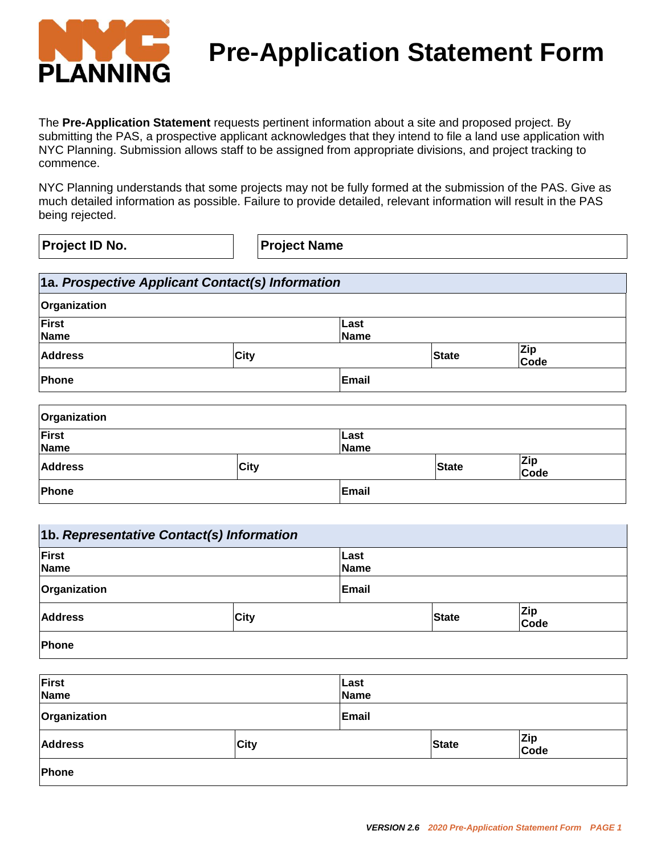

# **Pre-Application Statement Form**

The **Pre-Application Statement** requests pertinent information about a site and proposed project. By submitting the PAS, a prospective applicant acknowledges that they intend to file a land use application with NYC Planning. Submission allows staff to be assigned from appropriate divisions, and project tracking to commence.

NYC Planning understands that some projects may not be fully formed at the submission of the PAS. Give as much detailed information as possible. Failure to provide detailed, relevant information will result in the PAS being rejected.

**Project ID No. Project Name**

|                           |              |      | 1a. Prospective Applicant Contact(s) Information |
|---------------------------|--------------|------|--------------------------------------------------|
|                           |              |      | Organization                                     |
|                           |              |      | <b>First</b><br><b>Name</b>                      |
| <b>Zip</b><br><b>Code</b> | <b>State</b> | City | <b>Address</b>                                   |
|                           |              |      | Phone                                            |
|                           |              |      |                                                  |

| Organization   |             |              |              |                    |
|----------------|-------------|--------------|--------------|--------------------|
| First<br>Name  |             | Last<br>Name |              |                    |
| <b>Address</b> | <b>City</b> |              | <b>State</b> | <b>Zip</b><br>Code |
| Phone          |             | Email        |              |                    |

| 1b. Representative Contact(s) Information |      |                     |              |                    |
|-------------------------------------------|------|---------------------|--------------|--------------------|
| First<br>Name                             |      | Last<br><b>Name</b> |              |                    |
| Organization                              |      | Email               |              |                    |
| <b>Address</b>                            | City |                     | <b>State</b> | <b>Zip</b><br>Code |
| Phone                                     |      |                     |              |                    |

| <b>First</b><br>Name |             | Last<br><b>Name</b> |              |             |
|----------------------|-------------|---------------------|--------------|-------------|
| Organization         |             | Email               |              |             |
| <b>Address</b>       | <b>City</b> |                     | <b>State</b> | Zip<br>Code |
| Phone                |             |                     |              |             |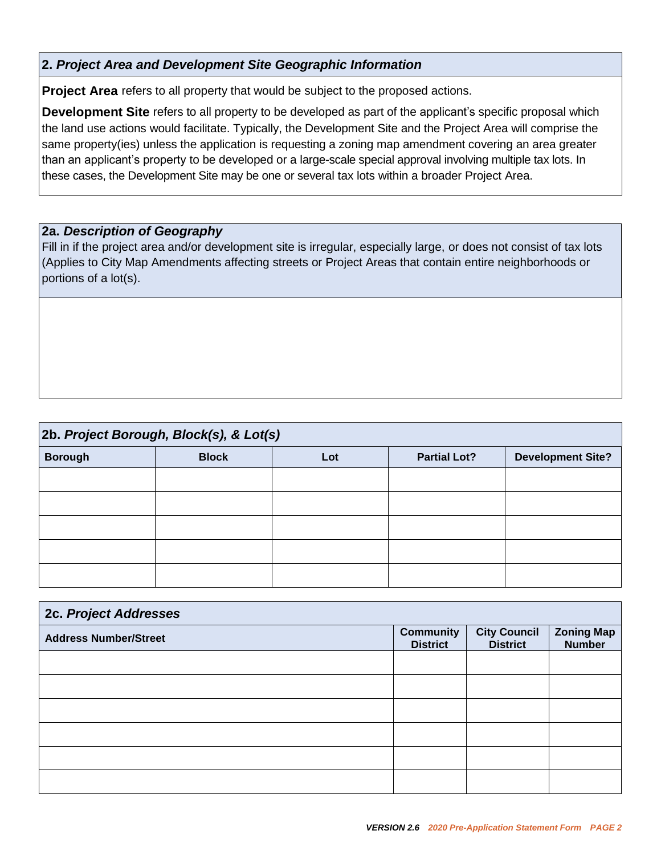#### **2.** *Project Area and Development Site Geographic Information*

**Project Area** refers to all property that would be subject to the proposed actions.

**Development Site** refers to all property to be developed as part of the applicant's specific proposal which the land use actions would facilitate. Typically, the Development Site and the Project Area will comprise the same property(ies) unless the application is requesting a zoning map amendment covering an area greater than an applicant's property to be developed or a large-scale special approval involving multiple tax lots. In these cases, the Development Site may be one or several tax lots within a broader Project Area.

#### **2a.** *Description of Geography*

Fill in if the project area and/or development site is irregular, especially large, or does not consist of tax lots (Applies to City Map Amendments affecting streets or Project Areas that contain entire neighborhoods or portions of a lot(s).

| 2b. Project Borough, Block(s), & Lot(s) |              |     |                     |                          |  |
|-----------------------------------------|--------------|-----|---------------------|--------------------------|--|
| <b>Borough</b>                          | <b>Block</b> | Lot | <b>Partial Lot?</b> | <b>Development Site?</b> |  |
|                                         |              |     |                     |                          |  |
|                                         |              |     |                     |                          |  |
|                                         |              |     |                     |                          |  |
|                                         |              |     |                     |                          |  |
|                                         |              |     |                     |                          |  |

| 2c. Project Addresses        |                                     |                                        |                                    |  |
|------------------------------|-------------------------------------|----------------------------------------|------------------------------------|--|
| <b>Address Number/Street</b> | <b>Community</b><br><b>District</b> | <b>City Council</b><br><b>District</b> | <b>Zoning Map</b><br><b>Number</b> |  |
|                              |                                     |                                        |                                    |  |
|                              |                                     |                                        |                                    |  |
|                              |                                     |                                        |                                    |  |
|                              |                                     |                                        |                                    |  |
|                              |                                     |                                        |                                    |  |
|                              |                                     |                                        |                                    |  |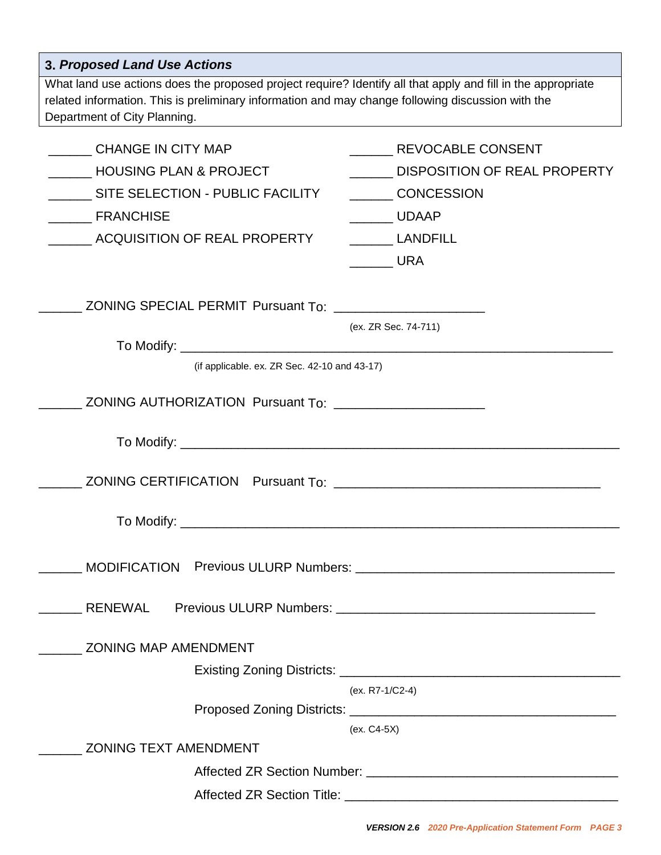| <b>3. Proposed Land Use Actions</b>                                                                                                                                                                                                               |                                                                                                           |  |  |  |  |
|---------------------------------------------------------------------------------------------------------------------------------------------------------------------------------------------------------------------------------------------------|-----------------------------------------------------------------------------------------------------------|--|--|--|--|
| What land use actions does the proposed project require? Identify all that apply and fill in the appropriate<br>related information. This is preliminary information and may change following discussion with the<br>Department of City Planning. |                                                                                                           |  |  |  |  |
| CHANGE IN CITY MAP<br><b>HOUSING PLAN &amp; PROJECT</b><br>SITE SELECTION - PUBLIC FACILITY<br><b>FRANCHISE</b><br>ACQUISITION OF REAL PROPERTY                                                                                                   | REVOCABLE CONSENT<br>DISPOSITION OF REAL PROPERTY<br><b>CONCESSION</b><br>UDAAP<br>LANDFILL<br><b>URA</b> |  |  |  |  |
| ZONING SPECIAL PERMIT Pursuant To:                                                                                                                                                                                                                | (ex. ZR Sec. 74-711)                                                                                      |  |  |  |  |
| (if applicable. ex. ZR Sec. $42-10$ and $43-17$ )                                                                                                                                                                                                 |                                                                                                           |  |  |  |  |
| ZONING AUTHORIZATION Pursuant To: ______________________                                                                                                                                                                                          |                                                                                                           |  |  |  |  |
|                                                                                                                                                                                                                                                   |                                                                                                           |  |  |  |  |
|                                                                                                                                                                                                                                                   |                                                                                                           |  |  |  |  |
|                                                                                                                                                                                                                                                   |                                                                                                           |  |  |  |  |
| <b>RENEWAL</b>                                                                                                                                                                                                                                    |                                                                                                           |  |  |  |  |
| <b>ZONING MAP AMENDMENT</b>                                                                                                                                                                                                                       |                                                                                                           |  |  |  |  |
|                                                                                                                                                                                                                                                   | (ex. R7-1/C2-4)                                                                                           |  |  |  |  |
|                                                                                                                                                                                                                                                   | (ex. C4-5X)                                                                                               |  |  |  |  |
| <b>ZONING TEXT AMENDMENT</b>                                                                                                                                                                                                                      |                                                                                                           |  |  |  |  |
|                                                                                                                                                                                                                                                   |                                                                                                           |  |  |  |  |
|                                                                                                                                                                                                                                                   |                                                                                                           |  |  |  |  |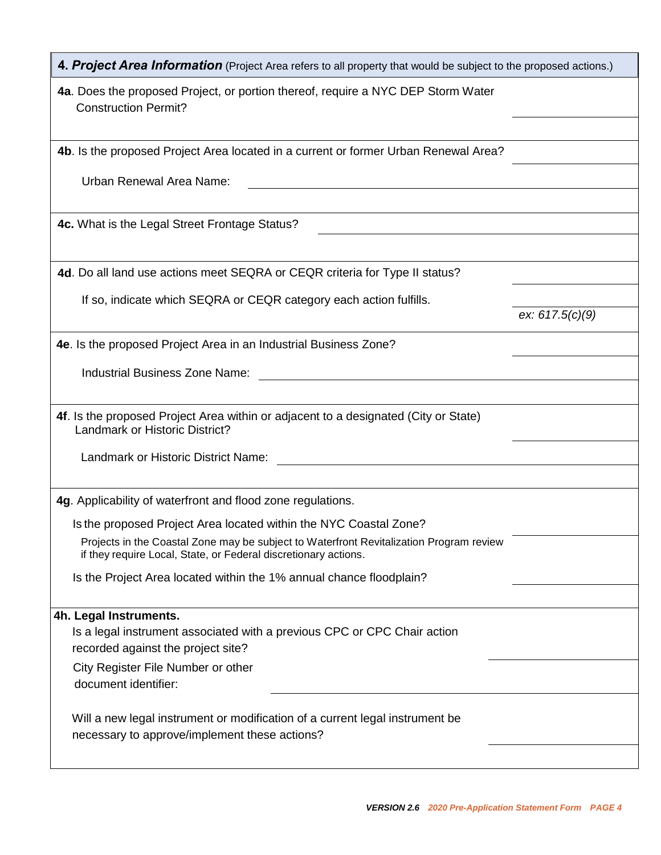| 4. Project Area Information (Project Area refers to all property that would be subject to the proposed actions.)                                           |                   |
|------------------------------------------------------------------------------------------------------------------------------------------------------------|-------------------|
| 4a. Does the proposed Project, or portion thereof, require a NYC DEP Storm Water<br><b>Construction Permit?</b>                                            |                   |
|                                                                                                                                                            |                   |
| 4b. Is the proposed Project Area located in a current or former Urban Renewal Area?                                                                        |                   |
| Urban Renewal Area Name:                                                                                                                                   |                   |
|                                                                                                                                                            |                   |
| 4c. What is the Legal Street Frontage Status?                                                                                                              |                   |
|                                                                                                                                                            |                   |
| 4d. Do all land use actions meet SEQRA or CEQR criteria for Type II status?                                                                                |                   |
| If so, indicate which SEQRA or CEQR category each action fulfills.                                                                                         |                   |
|                                                                                                                                                            | ex: $617.5(c)(9)$ |
| 4e. Is the proposed Project Area in an Industrial Business Zone?                                                                                           |                   |
| <b>Industrial Business Zone Name:</b>                                                                                                                      |                   |
|                                                                                                                                                            |                   |
| 4f. Is the proposed Project Area within or adjacent to a designated (City or State)<br><b>Landmark or Historic District?</b>                               |                   |
| Landmark or Historic District Name:                                                                                                                        |                   |
|                                                                                                                                                            |                   |
| 4g. Applicability of waterfront and flood zone regulations.                                                                                                |                   |
| Is the proposed Project Area located within the NYC Coastal Zone?                                                                                          |                   |
| Projects in the Coastal Zone may be subject to Waterfront Revitalization Program review<br>if they require Local, State, or Federal discretionary actions. |                   |
| Is the Project Area located within the 1% annual chance floodplain?                                                                                        |                   |
|                                                                                                                                                            |                   |
| 4h. Legal Instruments.<br>Is a legal instrument associated with a previous CPC or CPC Chair action                                                         |                   |
| recorded against the project site?                                                                                                                         |                   |
| City Register File Number or other                                                                                                                         |                   |
| document identifier:                                                                                                                                       |                   |
| Will a new legal instrument or modification of a current legal instrument be                                                                               |                   |
| necessary to approve/implement these actions?                                                                                                              |                   |
|                                                                                                                                                            |                   |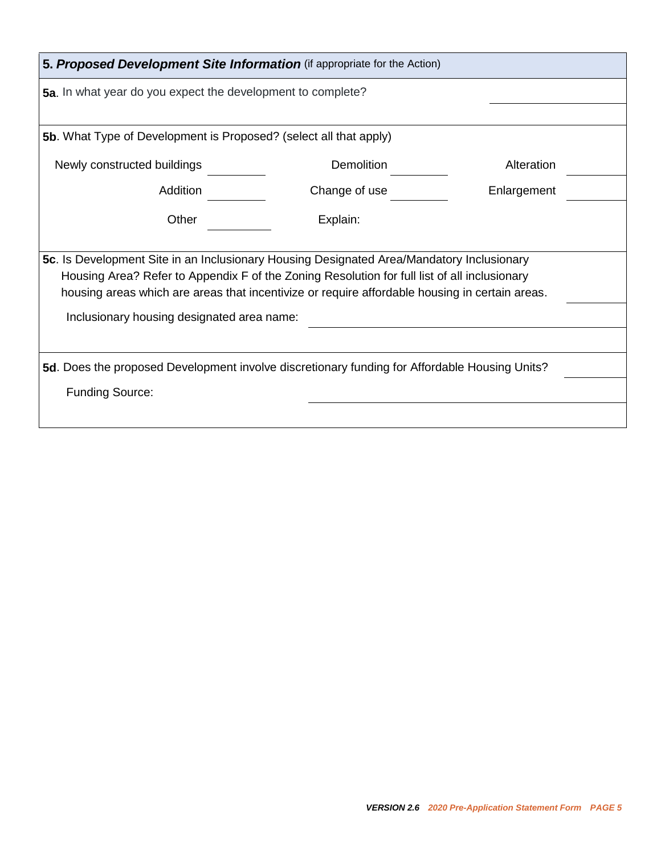| 5. Proposed Development Site Information (if appropriate for the Action)                                                                                                                                                                                                                                                                                                                                                                   |               |             |  |  |
|--------------------------------------------------------------------------------------------------------------------------------------------------------------------------------------------------------------------------------------------------------------------------------------------------------------------------------------------------------------------------------------------------------------------------------------------|---------------|-------------|--|--|
| 5a. In what year do you expect the development to complete?                                                                                                                                                                                                                                                                                                                                                                                |               |             |  |  |
|                                                                                                                                                                                                                                                                                                                                                                                                                                            |               |             |  |  |
| <b>5b.</b> What Type of Development is Proposed? (select all that apply)                                                                                                                                                                                                                                                                                                                                                                   |               |             |  |  |
| Newly constructed buildings                                                                                                                                                                                                                                                                                                                                                                                                                | Demolition    | Alteration  |  |  |
| Addition                                                                                                                                                                                                                                                                                                                                                                                                                                   | Change of use | Enlargement |  |  |
| Other                                                                                                                                                                                                                                                                                                                                                                                                                                      | Explain:      |             |  |  |
| 5c. Is Development Site in an Inclusionary Housing Designated Area/Mandatory Inclusionary<br>Housing Area? Refer to Appendix F of the Zoning Resolution for full list of all inclusionary<br>housing areas which are areas that incentivize or require affordable housing in certain areas.<br>Inclusionary housing designated area name:<br>5d. Does the proposed Development involve discretionary funding for Affordable Housing Units? |               |             |  |  |
| <b>Funding Source:</b>                                                                                                                                                                                                                                                                                                                                                                                                                     |               |             |  |  |
|                                                                                                                                                                                                                                                                                                                                                                                                                                            |               |             |  |  |
|                                                                                                                                                                                                                                                                                                                                                                                                                                            |               |             |  |  |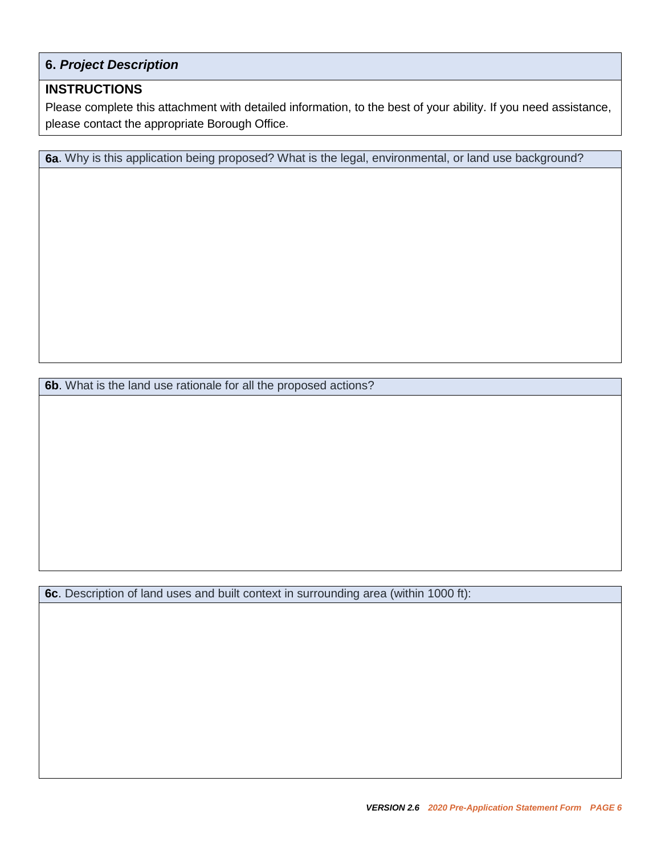### **6.** *Project Description*

#### **INSTRUCTIONS**

Please complete this attachment with detailed information, to the best of your ability. If you need assistance, please contact the appropriate Borough Office.

**6a**. Why is this application being proposed? What is the legal, environmental, or land use background?

**6b**. What is the land use rationale for all the proposed actions?

**6c**. Description of land uses and built context in surrounding area (within 1000 ft):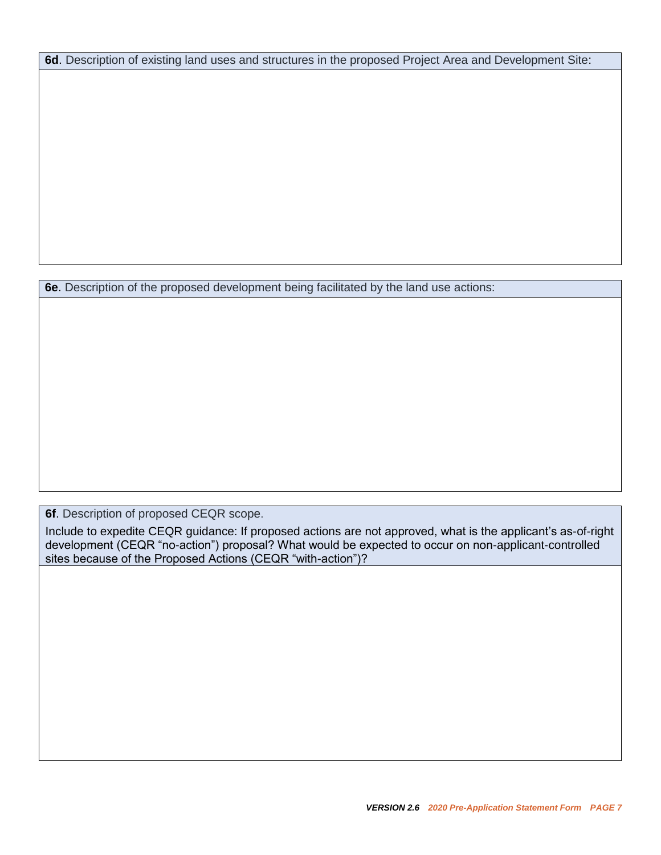**6d**. Description of existing land uses and structures in the proposed Project Area and Development Site:

**6e**. Description of the proposed development being facilitated by the land use actions:

**6f**. Description of proposed CEQR scope.

Include to expedite CEQR guidance: If proposed actions are not approved, what is the applicant's as-of-right development (CEQR "no-action") proposal? What would be expected to occur on non-applicant-controlled sites because of the Proposed Actions (CEQR "with-action")?